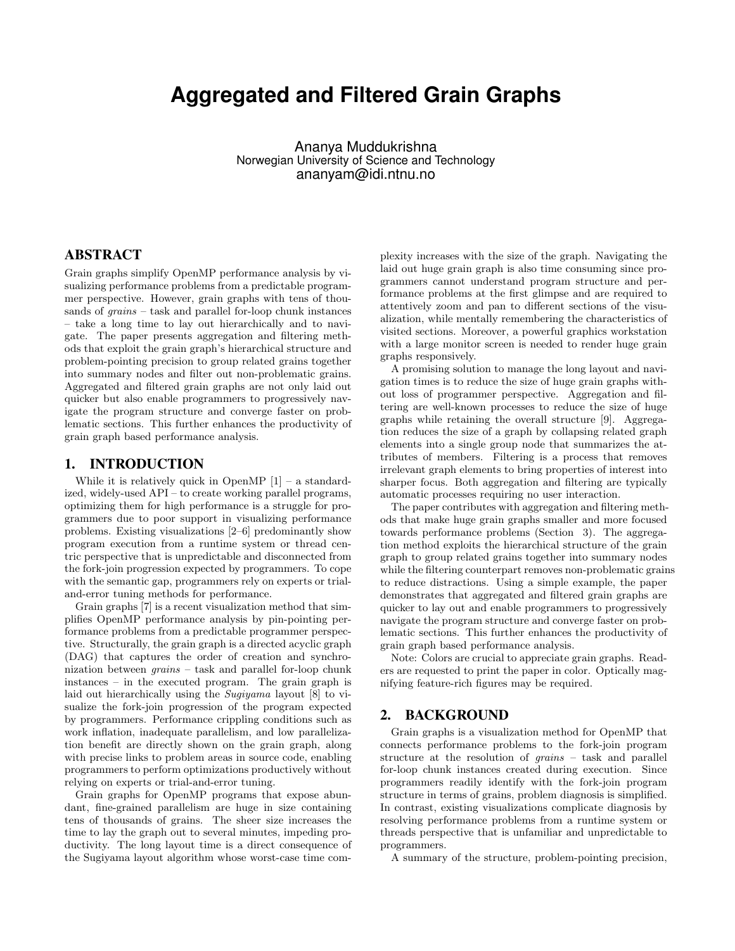# **Aggregated and Filtered Grain Graphs**

Ananya Muddukrishna Norwegian University of Science and Technology ananyam@idi.ntnu.no

## ABSTRACT

Grain graphs simplify OpenMP performance analysis by visualizing performance problems from a predictable programmer perspective. However, grain graphs with tens of thousands of  $grains - task$  and parallel for-loop chunk instances – take a long time to lay out hierarchically and to navigate. The paper presents aggregation and filtering methods that exploit the grain graph's hierarchical structure and problem-pointing precision to group related grains together into summary nodes and filter out non-problematic grains. Aggregated and filtered grain graphs are not only laid out quicker but also enable programmers to progressively navigate the program structure and converge faster on problematic sections. This further enhances the productivity of grain graph based performance analysis.

## 1. INTRODUCTION

While it is relatively quick in OpenMP  $[1]$  – a standardized, widely-used API – to create working parallel programs, optimizing them for high performance is a struggle for programmers due to poor support in visualizing performance problems. Existing visualizations [2–6] predominantly show program execution from a runtime system or thread centric perspective that is unpredictable and disconnected from the fork-join progression expected by programmers. To cope with the semantic gap, programmers rely on experts or trialand-error tuning methods for performance.

Grain graphs [7] is a recent visualization method that simplifies OpenMP performance analysis by pin-pointing performance problems from a predictable programmer perspective. Structurally, the grain graph is a directed acyclic graph (DAG) that captures the order of creation and synchronization between grains – task and parallel for-loop chunk instances – in the executed program. The grain graph is laid out hierarchically using the Sugiyama layout [8] to visualize the fork-join progression of the program expected by programmers. Performance crippling conditions such as work inflation, inadequate parallelism, and low parallelization benefit are directly shown on the grain graph, along with precise links to problem areas in source code, enabling programmers to perform optimizations productively without relying on experts or trial-and-error tuning.

Grain graphs for OpenMP programs that expose abundant, fine-grained parallelism are huge in size containing tens of thousands of grains. The sheer size increases the time to lay the graph out to several minutes, impeding productivity. The long layout time is a direct consequence of the Sugiyama layout algorithm whose worst-case time com-

plexity increases with the size of the graph. Navigating the laid out huge grain graph is also time consuming since programmers cannot understand program structure and performance problems at the first glimpse and are required to attentively zoom and pan to different sections of the visualization, while mentally remembering the characteristics of visited sections. Moreover, a powerful graphics workstation with a large monitor screen is needed to render huge grain graphs responsively.

A promising solution to manage the long layout and navigation times is to reduce the size of huge grain graphs without loss of programmer perspective. Aggregation and filtering are well-known processes to reduce the size of huge graphs while retaining the overall structure [9]. Aggregation reduces the size of a graph by collapsing related graph elements into a single group node that summarizes the attributes of members. Filtering is a process that removes irrelevant graph elements to bring properties of interest into sharper focus. Both aggregation and filtering are typically automatic processes requiring no user interaction.

The paper contributes with aggregation and filtering methods that make huge grain graphs smaller and more focused towards performance problems (Section 3). The aggregation method exploits the hierarchical structure of the grain graph to group related grains together into summary nodes while the filtering counterpart removes non-problematic grains to reduce distractions. Using a simple example, the paper demonstrates that aggregated and filtered grain graphs are quicker to lay out and enable programmers to progressively navigate the program structure and converge faster on problematic sections. This further enhances the productivity of grain graph based performance analysis.

Note: Colors are crucial to appreciate grain graphs. Readers are requested to print the paper in color. Optically magnifying feature-rich figures may be required.

## 2. BACKGROUND

Grain graphs is a visualization method for OpenMP that connects performance problems to the fork-join program structure at the resolution of grains – task and parallel for-loop chunk instances created during execution. Since programmers readily identify with the fork-join program structure in terms of grains, problem diagnosis is simplified. In contrast, existing visualizations complicate diagnosis by resolving performance problems from a runtime system or threads perspective that is unfamiliar and unpredictable to programmers.

A summary of the structure, problem-pointing precision,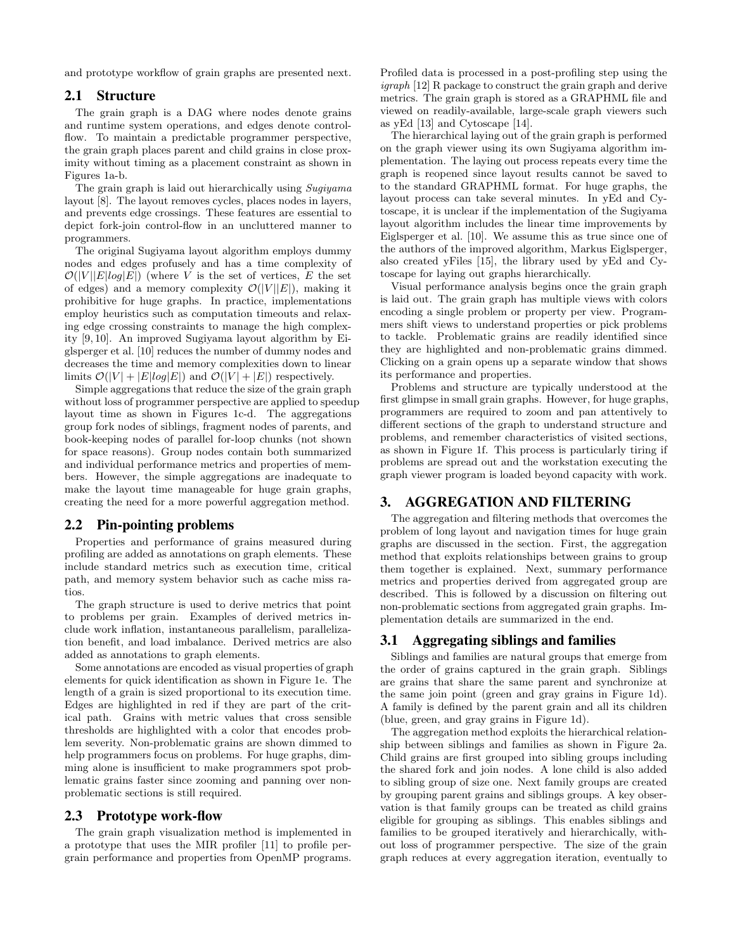and prototype workflow of grain graphs are presented next.

#### 2.1 Structure

The grain graph is a DAG where nodes denote grains and runtime system operations, and edges denote controlflow. To maintain a predictable programmer perspective, the grain graph places parent and child grains in close proximity without timing as a placement constraint as shown in Figures 1a-b.

The grain graph is laid out hierarchically using Sugiyama layout [8]. The layout removes cycles, places nodes in layers, and prevents edge crossings. These features are essential to depict fork-join control-flow in an uncluttered manner to programmers.

The original Sugiyama layout algorithm employs dummy nodes and edges profusely and has a time complexity of  $\mathcal{O}(|V||E|log|E|)$  (where V is the set of vertices, E the set of edges) and a memory complexity  $\mathcal{O}(|V||E|)$ , making it prohibitive for huge graphs. In practice, implementations employ heuristics such as computation timeouts and relaxing edge crossing constraints to manage the high complexity [9, 10]. An improved Sugiyama layout algorithm by Eiglsperger et al. [10] reduces the number of dummy nodes and decreases the time and memory complexities down to linear limits  $\mathcal{O}(|V| + |E|log|E|)$  and  $\mathcal{O}(|V| + |E|)$  respectively.

Simple aggregations that reduce the size of the grain graph without loss of programmer perspective are applied to speedup layout time as shown in Figures 1c-d. The aggregations group fork nodes of siblings, fragment nodes of parents, and book-keeping nodes of parallel for-loop chunks (not shown for space reasons). Group nodes contain both summarized and individual performance metrics and properties of members. However, the simple aggregations are inadequate to make the layout time manageable for huge grain graphs, creating the need for a more powerful aggregation method.

## 2.2 Pin-pointing problems

Properties and performance of grains measured during profiling are added as annotations on graph elements. These include standard metrics such as execution time, critical path, and memory system behavior such as cache miss ratios.

The graph structure is used to derive metrics that point to problems per grain. Examples of derived metrics include work inflation, instantaneous parallelism, parallelization benefit, and load imbalance. Derived metrics are also added as annotations to graph elements.

Some annotations are encoded as visual properties of graph elements for quick identification as shown in Figure 1e. The length of a grain is sized proportional to its execution time. Edges are highlighted in red if they are part of the critical path. Grains with metric values that cross sensible thresholds are highlighted with a color that encodes problem severity. Non-problematic grains are shown dimmed to help programmers focus on problems. For huge graphs, dimming alone is insufficient to make programmers spot problematic grains faster since zooming and panning over nonproblematic sections is still required.

#### 2.3 Prototype work-flow

The grain graph visualization method is implemented in a prototype that uses the MIR profiler [11] to profile pergrain performance and properties from OpenMP programs.

Profiled data is processed in a post-profiling step using the igraph [12] R package to construct the grain graph and derive metrics. The grain graph is stored as a GRAPHML file and viewed on readily-available, large-scale graph viewers such as yEd [13] and Cytoscape [14].

The hierarchical laying out of the grain graph is performed on the graph viewer using its own Sugiyama algorithm implementation. The laying out process repeats every time the graph is reopened since layout results cannot be saved to to the standard GRAPHML format. For huge graphs, the layout process can take several minutes. In yEd and Cytoscape, it is unclear if the implementation of the Sugiyama layout algorithm includes the linear time improvements by Eiglsperger et al. [10]. We assume this as true since one of the authors of the improved algorithm, Markus Eiglsperger, also created yFiles [15], the library used by yEd and Cytoscape for laying out graphs hierarchically.

Visual performance analysis begins once the grain graph is laid out. The grain graph has multiple views with colors encoding a single problem or property per view. Programmers shift views to understand properties or pick problems to tackle. Problematic grains are readily identified since they are highlighted and non-problematic grains dimmed. Clicking on a grain opens up a separate window that shows its performance and properties.

Problems and structure are typically understood at the first glimpse in small grain graphs. However, for huge graphs, programmers are required to zoom and pan attentively to different sections of the graph to understand structure and problems, and remember characteristics of visited sections, as shown in Figure 1f. This process is particularly tiring if problems are spread out and the workstation executing the graph viewer program is loaded beyond capacity with work.

## 3. AGGREGATION AND FILTERING

The aggregation and filtering methods that overcomes the problem of long layout and navigation times for huge grain graphs are discussed in the section. First, the aggregation method that exploits relationships between grains to group them together is explained. Next, summary performance metrics and properties derived from aggregated group are described. This is followed by a discussion on filtering out non-problematic sections from aggregated grain graphs. Implementation details are summarized in the end.

## 3.1 Aggregating siblings and families

Siblings and families are natural groups that emerge from the order of grains captured in the grain graph. Siblings are grains that share the same parent and synchronize at the same join point (green and gray grains in Figure 1d). A family is defined by the parent grain and all its children (blue, green, and gray grains in Figure 1d).

The aggregation method exploits the hierarchical relationship between siblings and families as shown in Figure 2a. Child grains are first grouped into sibling groups including the shared fork and join nodes. A lone child is also added to sibling group of size one. Next family groups are created by grouping parent grains and siblings groups. A key observation is that family groups can be treated as child grains eligible for grouping as siblings. This enables siblings and families to be grouped iteratively and hierarchically, without loss of programmer perspective. The size of the grain graph reduces at every aggregation iteration, eventually to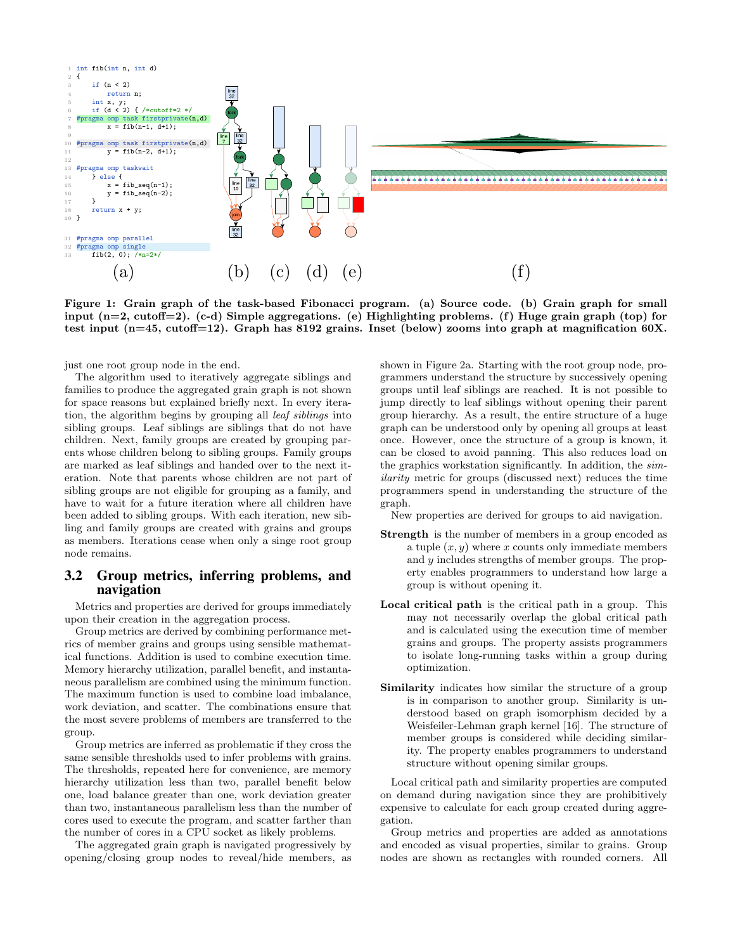

Figure 1: Grain graph of the task-based Fibonacci program. (a) Source code. (b) Grain graph for small input (n=2, cutoff=2). (c-d) Simple aggregations. (e) Highlighting problems. (f) Huge grain graph (top) for test input (n=45, cutoff=12). Graph has 8192 grains. Inset (below) zooms into graph at magnification 60X.

just one root group node in the end.

The algorithm used to iteratively aggregate siblings and families to produce the aggregated grain graph is not shown for space reasons but explained briefly next. In every iteration, the algorithm begins by grouping all leaf siblings into sibling groups. Leaf siblings are siblings that do not have children. Next, family groups are created by grouping parents whose children belong to sibling groups. Family groups are marked as leaf siblings and handed over to the next iteration. Note that parents whose children are not part of sibling groups are not eligible for grouping as a family, and have to wait for a future iteration where all children have been added to sibling groups. With each iteration, new sibling and family groups are created with grains and groups as members. Iterations cease when only a singe root group node remains.

#### 3.2 Group metrics, inferring problems, and navigation

Metrics and properties are derived for groups immediately upon their creation in the aggregation process.

Group metrics are derived by combining performance metrics of member grains and groups using sensible mathematical functions. Addition is used to combine execution time. Memory hierarchy utilization, parallel benefit, and instantaneous parallelism are combined using the minimum function. The maximum function is used to combine load imbalance, work deviation, and scatter. The combinations ensure that the most severe problems of members are transferred to the group.

Group metrics are inferred as problematic if they cross the same sensible thresholds used to infer problems with grains. The thresholds, repeated here for convenience, are memory hierarchy utilization less than two, parallel benefit below one, load balance greater than one, work deviation greater than two, instantaneous parallelism less than the number of cores used to execute the program, and scatter farther than the number of cores in a CPU socket as likely problems.

The aggregated grain graph is navigated progressively by opening/closing group nodes to reveal/hide members, as shown in Figure 2a. Starting with the root group node, programmers understand the structure by successively opening groups until leaf siblings are reached. It is not possible to jump directly to leaf siblings without opening their parent group hierarchy. As a result, the entire structure of a huge graph can be understood only by opening all groups at least once. However, once the structure of a group is known, it can be closed to avoid panning. This also reduces load on the graphics workstation significantly. In addition, the similarity metric for groups (discussed next) reduces the time programmers spend in understanding the structure of the graph.

New properties are derived for groups to aid navigation.

- Strength is the number of members in a group encoded as a tuple  $(x, y)$  where x counts only immediate members and y includes strengths of member groups. The property enables programmers to understand how large a group is without opening it.
- Local critical path is the critical path in a group. This may not necessarily overlap the global critical path and is calculated using the execution time of member grains and groups. The property assists programmers to isolate long-running tasks within a group during optimization.
- Similarity indicates how similar the structure of a group is in comparison to another group. Similarity is understood based on graph isomorphism decided by a Weisfeiler-Lehman graph kernel [16]. The structure of member groups is considered while deciding similarity. The property enables programmers to understand structure without opening similar groups.

Local critical path and similarity properties are computed on demand during navigation since they are prohibitively expensive to calculate for each group created during aggregation.

Group metrics and properties are added as annotations and encoded as visual properties, similar to grains. Group nodes are shown as rectangles with rounded corners. All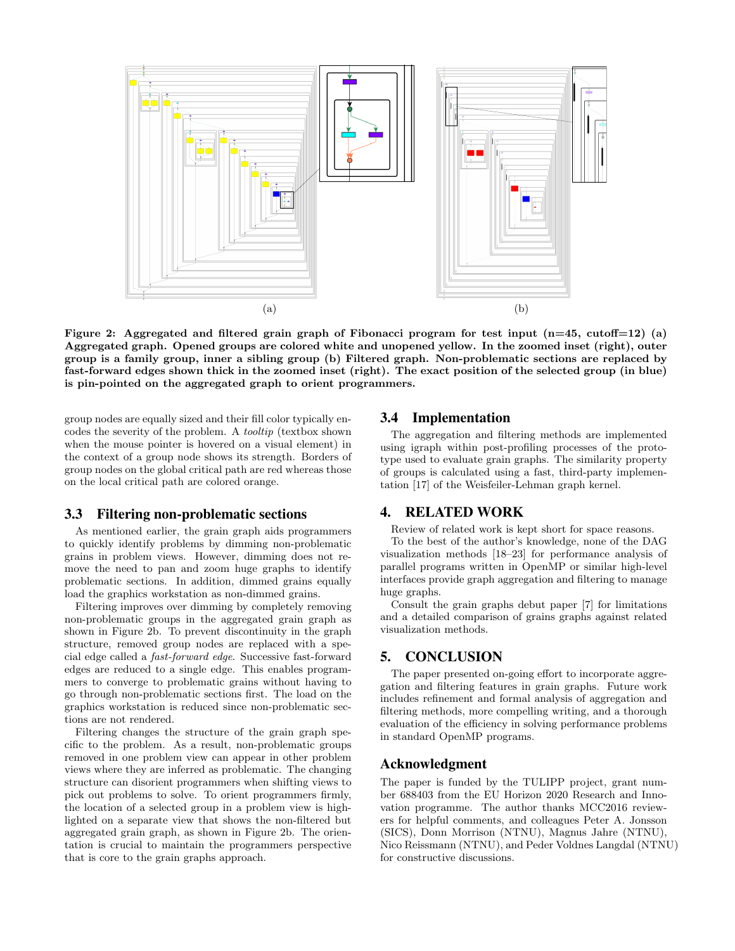

Figure 2: Aggregated and filtered grain graph of Fibonacci program for test input  $(n=45, \text{ cutoff}=12)$  (a) Aggregated graph. Opened groups are colored white and unopened yellow. In the zoomed inset (right), outer group is a family group, inner a sibling group (b) Filtered graph. Non-problematic sections are replaced by fast-forward edges shown thick in the zoomed inset (right). The exact position of the selected group (in blue) is pin-pointed on the aggregated graph to orient programmers.

group nodes are equally sized and their fill color typically encodes the severity of the problem. A tooltip (textbox shown when the mouse pointer is hovered on a visual element) in the context of a group node shows its strength. Borders of group nodes on the global critical path are red whereas those on the local critical path are colored orange.

## 3.3 Filtering non-problematic sections

As mentioned earlier, the grain graph aids programmers to quickly identify problems by dimming non-problematic grains in problem views. However, dimming does not remove the need to pan and zoom huge graphs to identify problematic sections. In addition, dimmed grains equally load the graphics workstation as non-dimmed grains.

Filtering improves over dimming by completely removing non-problematic groups in the aggregated grain graph as shown in Figure 2b. To prevent discontinuity in the graph structure, removed group nodes are replaced with a special edge called a fast-forward edge. Successive fast-forward edges are reduced to a single edge. This enables programmers to converge to problematic grains without having to go through non-problematic sections first. The load on the graphics workstation is reduced since non-problematic sections are not rendered.

Filtering changes the structure of the grain graph specific to the problem. As a result, non-problematic groups removed in one problem view can appear in other problem views where they are inferred as problematic. The changing structure can disorient programmers when shifting views to pick out problems to solve. To orient programmers firmly, the location of a selected group in a problem view is highlighted on a separate view that shows the non-filtered but aggregated grain graph, as shown in Figure 2b. The orientation is crucial to maintain the programmers perspective that is core to the grain graphs approach.

#### 3.4 Implementation

The aggregation and filtering methods are implemented using igraph within post-profiling processes of the prototype used to evaluate grain graphs. The similarity property of groups is calculated using a fast, third-party implementation [17] of the Weisfeiler-Lehman graph kernel.

#### 4. RELATED WORK

Review of related work is kept short for space reasons.

To the best of the author's knowledge, none of the DAG visualization methods [18–23] for performance analysis of parallel programs written in OpenMP or similar high-level interfaces provide graph aggregation and filtering to manage huge graphs.

Consult the grain graphs debut paper [7] for limitations and a detailed comparison of grains graphs against related visualization methods.

## 5. CONCLUSION

The paper presented on-going effort to incorporate aggregation and filtering features in grain graphs. Future work includes refinement and formal analysis of aggregation and filtering methods, more compelling writing, and a thorough evaluation of the efficiency in solving performance problems in standard OpenMP programs.

#### Acknowledgment

The paper is funded by the TULIPP project, grant number 688403 from the EU Horizon 2020 Research and Innovation programme. The author thanks MCC2016 reviewers for helpful comments, and colleagues Peter A. Jonsson (SICS), Donn Morrison (NTNU), Magnus Jahre (NTNU), Nico Reissmann (NTNU), and Peder Voldnes Langdal (NTNU) for constructive discussions.